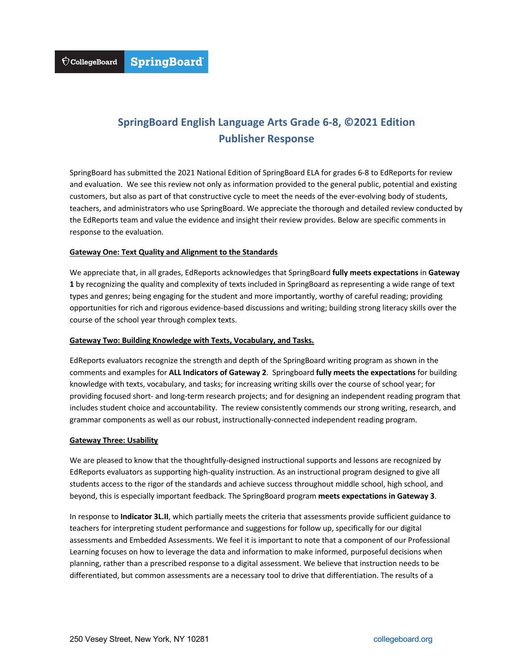## **SpringBoard English Language Arts Grade 6-8, ©2021 Edition Publisher Response**

SpringBoard has submitted the 2021 National Edition of SpringBoard ELA for grades 6-8 to EdReports for review and evaluation. We see this review not only as information provided to the general public, potential and existing customers, but also as part of that constructive cycle to meet the needs of the ever-evolving body of students, teachers, and administrators who use SpringBoard. We appreciate the thorough and detailed review conducted by the EdReports team and value the evidence and insight their review provides. Below are specific comments in response to the evaluation.

## **Gateway One: Text Quality and Alignment to the Standards**

We appreciate that, in all grades, EdReports acknowledges that SpringBoard **fully meets expectations** in **Gateway 1** by recognizing the quality and complexity of texts included in SpringBoard as representing a wide range of text types and genres; being engaging for the student and more importantly, worthy of careful reading; providing opportunities for rich and rigorous evidence-based discussions and writing; building strong literacy skills over the course of the school year through complex texts.

## **Gateway Two: Building Knowledge with Texts, Vocabulary, and Tasks.**

EdReports evaluators recognize the strength and depth of the SpringBoard writing program as shown in the comments and examples for **ALL Indicators of Gateway 2**. Springboard **fully meets the expectations** for building knowledge with texts, vocabulary, and tasks; for increasing writing skills over the course of school year; for providing focused short- and long-term research projects; and for designing an independent reading program that includes student choice and accountability. The review consistently commends our strong writing, research, and grammar components as well as our robust, instructionally-connected independent reading program.

## **Gateway Three: Usability**

We are pleased to know that the thoughtfully-designed instructional supports and lessons are recognized by EdReports evaluators as supporting high-quality instruction. As an instructional program designed to give all students access to the rigor of the standards and achieve success throughout middle school, high school, and beyond, this is especially important feedback. The SpringBoard program **meets expectations in Gateway 3**.

In response to **Indicator 3L.II**, which partially meets the criteria that assessments provide sufficient guidance to teachers for interpreting student performance and suggestions for follow up, specifically for our digital assessments and Embedded Assessments. We feel it is important to note that a component of our Professional Learning focuses on how to leverage the data and information to make informed, purposeful decisions when planning, rather than a prescribed response to a digital assessment. We believe that instruction needs to be differentiated, but common assessments are a necessary tool to drive that differentiation. The results of a